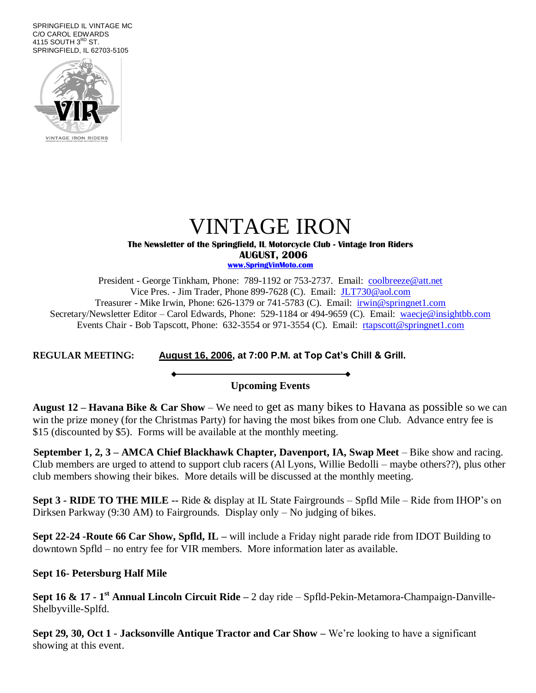SPRINGFIELD IL VINTAGE MC C/O CAROL EDWARDS 4115 SOUTH  $3<sup>RD</sup>$  ST. SPRINGFIELD, IL 62703-5105



### VINTAGE IRON **The Newsletter of the Springfield, IL Motorcycle Club - Vintage Iron Riders**

 **AUGUST, 2006**

**www.SpringVinMoto.com**

President - George Tinkham, Phone: 789-1192 or 753-2737. Email: [coolbreeze@att.net](mailto:coolbreeze@att.net) Vice Pres. - Jim Trader, Phone 899-7628 (C). Email: [JLT730@aol.com](mailto:JLT730@aol.com) Treasurer - Mike Irwin, Phone: 626-1379 or 741-5783 (C). Email: irwin@springnet1.com Secretary/Newsletter Editor – Carol Edwards, Phone: 529-1184 or 494-9659 (C). Email: waecje@insightbb.com Events Chair - Bob Tapscott, Phone: 632-3554 or 971-3554 (C). Email: [rtapscott@springnet1.com](mailto:rtapscott@springnet1.com)

**REGULAR MEETING: August 16, 2006, at 7:00 P.M. at Top Cat's Chill & Grill.**

### **Upcoming Events**

**August 12 – Havana Bike & Car Show** – We need to get as many bikes to Havana as possible so we can win the prize money (for the Christmas Party) for having the most bikes from one Club. Advance entry fee is \$15 (discounted by \$5). Forms will be available at the monthly meeting.

**September 1, 2, 3 – AMCA Chief Blackhawk Chapter, Davenport, IA, Swap Meet** – Bike show and racing. Club members are urged to attend to support club racers (Al Lyons, Willie Bedolli – maybe others??), plus other club members showing their bikes. More details will be discussed at the monthly meeting.

**Sept 3 - RIDE TO THE MILE --** Ride & display at IL State Fairgrounds – Spfld Mile – Ride from IHOP's on Dirksen Parkway (9:30 AM) to Fairgrounds. Display only – No judging of bikes.

**Sept 22-24 -Route 66 Car Show, Spfld, IL –** will include a Friday night parade ride from IDOT Building to downtown Spfld – no entry fee for VIR members. More information later as available.

**Sept 16- Petersburg Half Mile**

**Sept 16 & 17 - 1 st Annual Lincoln Circuit Ride –** 2 day ride – Spfld-Pekin-Metamora-Champaign-Danville-Shelbyville-Splfd.

**Sept 29, 30, Oct 1 - Jacksonville Antique Tractor and Car Show –** We're looking to have a significant showing at this event.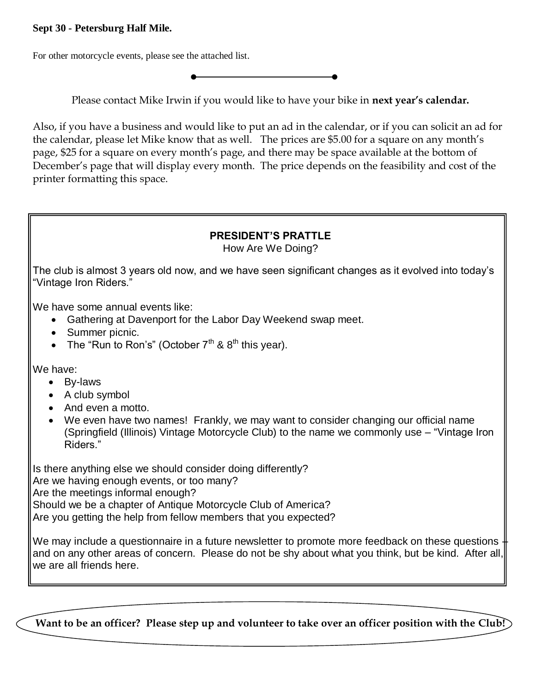### **Sept 30 - Petersburg Half Mile.**

For other motorcycle events, please see the attached list.

Please contact Mike Irwin if you would like to have your bike in **next year's calendar.**

Also, if you have a business and would like to put an ad in the calendar, or if you can solicit an ad for the calendar, please let Mike know that as well. The prices are \$5.00 for a square on any month's page, \$25 for a square on every month's page, and there may be space available at the bottom of December's page that will display every month. The price depends on the feasibility and cost of the printer formatting this space.

### **PRESIDENT'S PRATTLE**

How Are We Doing?

The club is almost 3 years old now, and we have seen significant changes as it evolved into today's "Vintage Iron Riders."

We have some annual events like:

- Gathering at Davenport for the Labor Day Weekend swap meet.
- Summer picnic.
- The "Run to Ron's" (October  $7<sup>th</sup>$  &  $8<sup>th</sup>$  this year).

We have:

- By-laws
- A club symbol
- And even a motto.
- We even have two names! Frankly, we may want to consider changing our official name (Springfield (Illinois) Vintage Motorcycle Club) to the name we commonly use – "Vintage Iron Riders."

Is there anything else we should consider doing differently? Are we having enough events, or too many? Are the meetings informal enough? Should we be a chapter of Antique Motorcycle Club of America? Are you getting the help from fellow members that you expected?

We may include a questionnaire in a future newsletter to promote more feedback on these questions and on any other areas of concern. Please do not be shy about what you think, but be kind. After all, we are all friends here.

**Want to be an officer? Please step up and volunteer to take over an officer position with the Club!**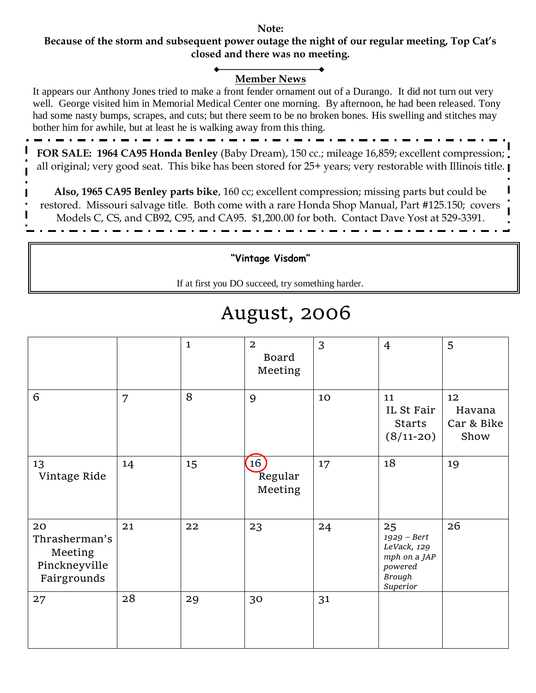#### **Note: Because of the storm and subsequent power outage the night of our regular meeting, Top Cat's closed and there was no meeting.**

### **Member News**

It appears our Anthony Jones tried to make a front fender ornament out of a Durango. It did not turn out very well. George visited him in Memorial Medical Center one morning. By afternoon, he had been released. Tony had some nasty bumps, scrapes, and cuts; but there seem to be no broken bones. His swelling and stitches may bother him for awhile, but at least he is walking away from this thing.

**FOR SALE: 1964 CA95 Honda Benley** (Baby Dream), 150 cc.; mileage 16,859; excellent compression; all original; very good seat. This bike has been stored for 25+ years; very restorable with Illinois title.

**Also, 1965 CA95 Benley parts bike**, 160 cc; excellent compression; missing parts but could be restored. Missouri salvage title. Both come with a rare Honda Shop Manual, Part #125.150; covers Models C, CS, and CB92, C95, and CA95. \$1,200.00 for both. Contact Dave Yost at 529-3391.

**"Vintage Visdom"**

If at first you DO succeed, try something harder.

## August, 2006

|                                                                |    | $\mathbf{1}$ | $\overline{2}$<br><b>Board</b><br>Meeting | 3  | $\overline{4}$                                                                           | 5                                  |
|----------------------------------------------------------------|----|--------------|-------------------------------------------|----|------------------------------------------------------------------------------------------|------------------------------------|
| 6                                                              | 7  | 8            | 9                                         | 10 | 11<br>IL St Fair<br><b>Starts</b><br>$(8/11-20)$                                         | 12<br>Havana<br>Car & Bike<br>Show |
| 13<br>Vintage Ride                                             | 14 | 15           | 16)<br>Regular<br>Meeting                 | 17 | 18                                                                                       | 19                                 |
| 20<br>Thrasherman's<br>Meeting<br>Pinckneyville<br>Fairgrounds | 21 | 22           | 23                                        | 24 | 25<br>1929 - Bert<br>LeVack, 129<br>mph on a JAP<br>powered<br><b>Brough</b><br>Superior | 26                                 |
| 27                                                             | 28 | 29           | 30                                        | 31 |                                                                                          |                                    |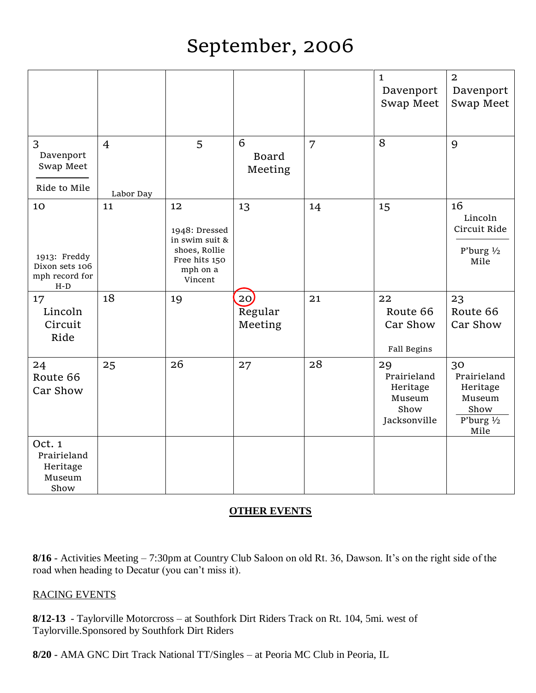# September, 2006

|                                                                 |                             |                                                                                                |                              |    | $\mathbf{1}$<br>Davenport<br>Swap Meet                          | $\overline{2}$<br>Davenport<br>Swap Meet                                        |
|-----------------------------------------------------------------|-----------------------------|------------------------------------------------------------------------------------------------|------------------------------|----|-----------------------------------------------------------------|---------------------------------------------------------------------------------|
| 3<br>Davenport<br>Swap Meet<br>Ride to Mile                     | $\overline{4}$<br>Labor Day | 5                                                                                              | 6<br><b>Board</b><br>Meeting | 7  | 8                                                               | 9                                                                               |
| 10<br>1913: Freddy<br>Dixon sets 106<br>mph record for<br>$H-D$ | 11                          | 12<br>1948: Dressed<br>in swim suit &<br>shoes, Rollie<br>Free hits 150<br>mph on a<br>Vincent | 13                           | 14 | 15                                                              | 16<br>Lincoln<br>Circuit Ride<br>P'burg $1/2$<br>Mile                           |
| 17<br>Lincoln<br>Circuit<br>Ride                                | 18                          | 19                                                                                             | 20<br>Regular<br>Meeting     | 21 | 22<br>Route 66<br>Car Show<br>Fall Begins                       | 23<br>Route 66<br>Car Show                                                      |
| 24<br>Route 66<br>Car Show                                      | 25                          | 26                                                                                             | 27                           | 28 | 29<br>Prairieland<br>Heritage<br>Museum<br>Show<br>Jacksonville | 30<br>Prairieland<br>Heritage<br>Museum<br>Show<br>P'burg $\frac{1}{2}$<br>Mile |
| Oct. 1<br>Prairieland<br>Heritage<br>Museum<br>Show             |                             |                                                                                                |                              |    |                                                                 |                                                                                 |

### **OTHER EVENTS**

**8/16** - Activities Meeting – 7:30pm at Country Club Saloon on old Rt. 36, Dawson. It's on the right side of the road when heading to Decatur (you can't miss it).

### RACING EVENTS

**8/12-13** - Taylorville Motorcross – at Southfork Dirt Riders Track on Rt. 104, 5mi. west of Taylorville.Sponsored by Southfork Dirt Riders

**8/20** - AMA GNC Dirt Track National TT/Singles – at Peoria MC Club in Peoria, IL